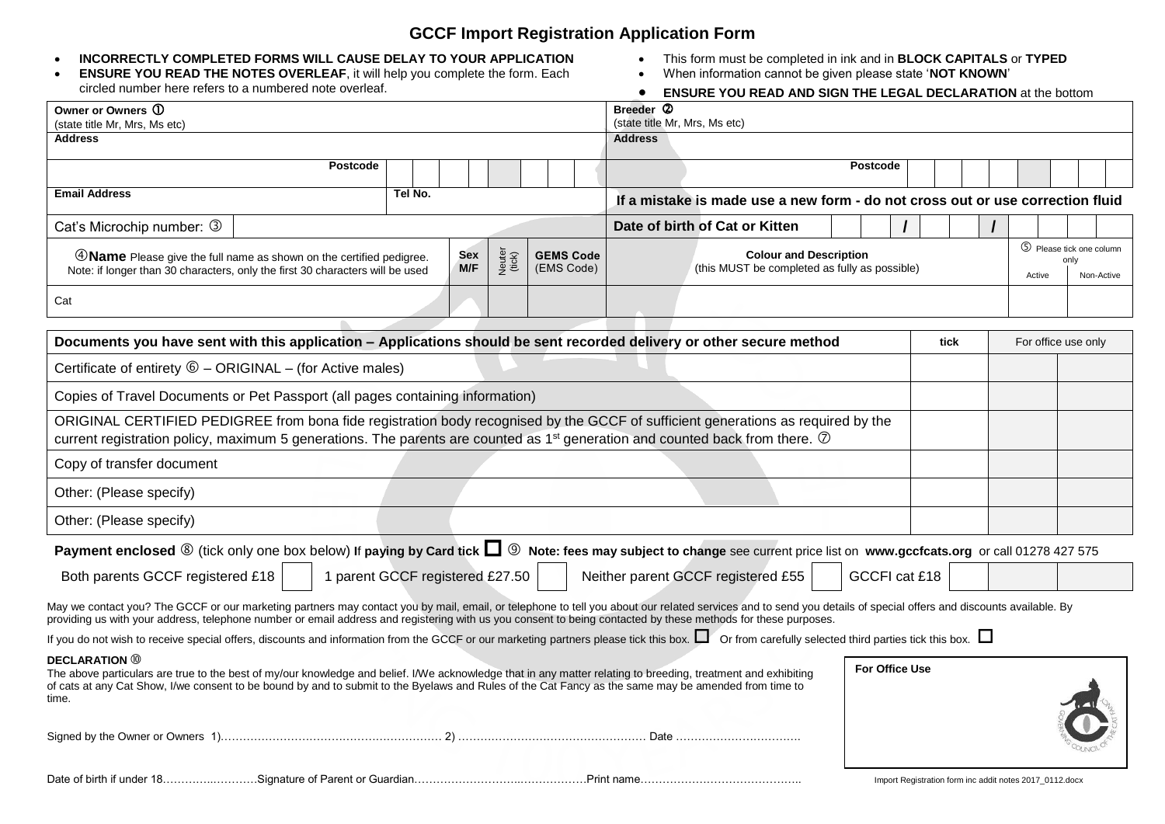## **GCCF Import Registration Application Form**

#### **INCORRECTLY COMPLETED FORMS WILL CAUSE DELAY TO YOUR APPLICATION**

| <b>ENSURE YOU READ THE NOTES OVERLEAF, it will help you complete the form. Each</b> |  |
|-------------------------------------------------------------------------------------|--|
| circled number here refers to a numbered note overleaf.                             |  |

- This form must be completed in ink and in **BLOCK CAPITALS** or **TYPED**
- When information cannot be given please state '**NOT KNOWN**'

| circled number here refers to a numbered note overleaf.                                                                                                                                                                                                                                                                                                                           |                                            |                  |                                | ENSURE YOU READ AND SIGN THE LEGAL DECLARATION at the bottom                   |                                                         |  |                                                          |  |
|-----------------------------------------------------------------------------------------------------------------------------------------------------------------------------------------------------------------------------------------------------------------------------------------------------------------------------------------------------------------------------------|--------------------------------------------|------------------|--------------------------------|--------------------------------------------------------------------------------|---------------------------------------------------------|--|----------------------------------------------------------|--|
| Owner or Owners ①<br>(state title Mr, Mrs, Ms etc)                                                                                                                                                                                                                                                                                                                                | Breeder 2<br>(state title Mr, Mrs, Ms etc) |                  |                                |                                                                                |                                                         |  |                                                          |  |
| Address                                                                                                                                                                                                                                                                                                                                                                           |                                            |                  |                                | <b>Address</b>                                                                 |                                                         |  |                                                          |  |
|                                                                                                                                                                                                                                                                                                                                                                                   | <b>Postcode</b>                            |                  |                                |                                                                                | Postcode                                                |  |                                                          |  |
| <b>Email Address</b>                                                                                                                                                                                                                                                                                                                                                              | Tel No.                                    |                  |                                | If a mistake is made use a new form - do not cross out or use correction fluid |                                                         |  |                                                          |  |
| Cat's Microchip number: 3                                                                                                                                                                                                                                                                                                                                                         |                                            |                  |                                | Date of birth of Cat or Kitten                                                 |                                                         |  |                                                          |  |
| 4 Name Please give the full name as shown on the certified pedigree.<br>Note: if longer than 30 characters, only the first 30 characters will be used                                                                                                                                                                                                                             | Sex<br>M/F                                 | Neuter<br>(tick) | <b>GEMS Code</b><br>(EMS Code) | <b>Colour and Description</b><br>(this MUST be completed as fully as possible) |                                                         |  | 5 Please tick one column<br>only<br>Non-Active<br>Active |  |
| Cat                                                                                                                                                                                                                                                                                                                                                                               |                                            |                  |                                |                                                                                |                                                         |  |                                                          |  |
| Documents you have sent with this application - Applications should be sent recorded delivery or other secure method                                                                                                                                                                                                                                                              |                                            |                  |                                |                                                                                | tick                                                    |  | For office use only                                      |  |
| Certificate of entirety $\textcircled{6}$ - ORIGINAL - (for Active males)                                                                                                                                                                                                                                                                                                         |                                            |                  |                                |                                                                                |                                                         |  |                                                          |  |
| Copies of Travel Documents or Pet Passport (all pages containing information)                                                                                                                                                                                                                                                                                                     |                                            |                  |                                |                                                                                |                                                         |  |                                                          |  |
| ORIGINAL CERTIFIED PEDIGREE from bona fide registration body recognised by the GCCF of sufficient generations as required by the<br>current registration policy, maximum 5 generations. The parents are counted as 1 <sup>st</sup> generation and counted back from there. $\oslash$                                                                                              |                                            |                  |                                |                                                                                |                                                         |  |                                                          |  |
| Copy of transfer document                                                                                                                                                                                                                                                                                                                                                         |                                            |                  |                                |                                                                                |                                                         |  |                                                          |  |
| Other: (Please specify)                                                                                                                                                                                                                                                                                                                                                           |                                            |                  |                                |                                                                                |                                                         |  |                                                          |  |
| Other: (Please specify)                                                                                                                                                                                                                                                                                                                                                           |                                            |                  |                                |                                                                                |                                                         |  |                                                          |  |
| Payment enclosed $\circledast$ (tick only one box below) If paying by Card tick $\square$ $\circledast$ Note: fees may subject to change see current price list on www.gccfcats.org or call 01278 427 575                                                                                                                                                                         |                                            |                  |                                |                                                                                |                                                         |  |                                                          |  |
| Both parents GCCF registered £18                                                                                                                                                                                                                                                                                                                                                  | 1 parent GCCF registered £27.50            |                  |                                | Neither parent GCCF registered £55                                             | GCCFI cat £18                                           |  |                                                          |  |
| May we contact you? The GCCF or our marketing partners may contact you by mail, email, or telephone to tell you about our related services and to send you details of special offers and discounts available. By<br>providing us with your address, telephone number or email address and registering with us you consent to being contacted by these methods for these purposes. |                                            |                  |                                |                                                                                |                                                         |  |                                                          |  |
| If you do not wish to receive special offers, discounts and information from the GCCF or our marketing partners please tick this box. $\Box$ Or from carefully selected third parties tick this box. $\Box$                                                                                                                                                                       |                                            |                  |                                |                                                                                |                                                         |  |                                                          |  |
| <b>DECLARATION</b> 10<br>The above particulars are true to the best of my/our knowledge and belief. I/We acknowledge that in any matter relating to breeding, treatment and exhibiting<br>of cats at any Cat Show, I/we consent to be bound by and to submit to the Byelaws and Rules of the Cat Fancy as the same may be amended from time to<br>time.                           |                                            |                  |                                |                                                                                | <b>For Office Use</b>                                   |  |                                                          |  |
|                                                                                                                                                                                                                                                                                                                                                                                   |                                            |                  |                                |                                                                                |                                                         |  |                                                          |  |
|                                                                                                                                                                                                                                                                                                                                                                                   |                                            |                  |                                |                                                                                | Import Registration form inc addit notes 2017 0112.docx |  |                                                          |  |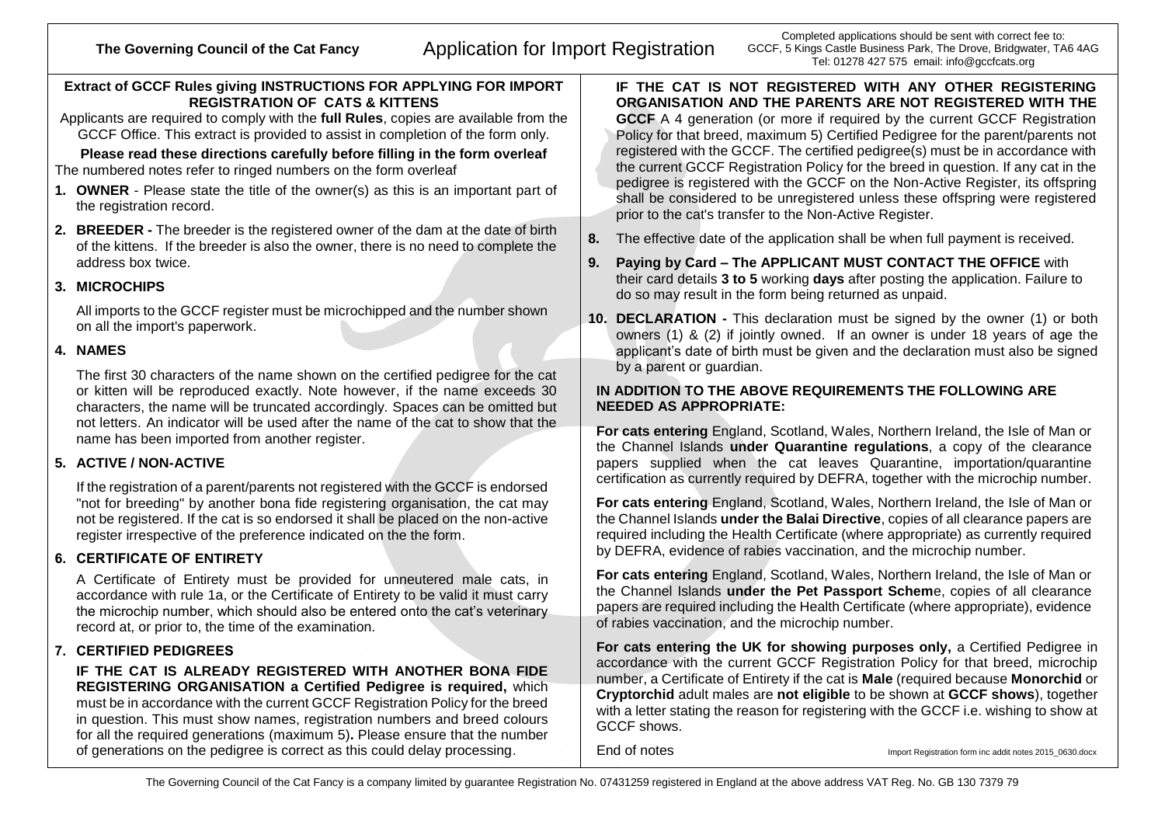# The Governing Council of the Cat Fancy **Application for Import Registration**

Completed applications should be sent with correct fee to: GCCF, 5 Kings Castle Business Park, The Drove, Bridgwater, TA6 4AG Tel: 01278 427 575 email: info@gccfcats.org

## **Extract of GCCF Rules giving INSTRUCTIONS FOR APPLYING FOR IMPORT REGISTRATION OF CATS & KITTENS**

Applicants are required to comply with the **full Rules**, copies are available from the GCCF Office. This extract is provided to assist in completion of the form only.

#### **Please read these directions carefully before filling in the form overleaf** The numbered notes refer to ringed numbers on the form overleaf

- **1. OWNER** Please state the title of the owner(s) as this is an important part of the registration record.
- **2. BREEDER -** The breeder is the registered owner of the dam at the date of birth of the kittens. If the breeder is also the owner, there is no need to complete the address box twice.

## **3. MICROCHIPS**

All imports to the GCCF register must be microchipped and the number shown on all the import's paperwork.

## **4. NAMES**

The first 30 characters of the name shown on the certified pedigree for the cat or kitten will be reproduced exactly. Note however, if the name exceeds 30 characters, the name will be truncated accordingly. Spaces can be omitted but not letters. An indicator will be used after the name of the cat to show that the name has been imported from another register.

## **5. ACTIVE / NON-ACTIVE**

If the registration of a parent/parents not registered with the GCCF is endorsed "not for breeding" by another bona fide registering organisation, the cat may not be registered. If the cat is so endorsed it shall be placed on the non-active register irrespective of the preference indicated on the the form.

## **6. CERTIFICATE OF ENTIRETY**

A Certificate of Entirety must be provided for unneutered male cats, in accordance with rule 1a, or the Certificate of Entirety to be valid it must carry the microchip number, which should also be entered onto the cat's veterinary record at, or prior to, the time of the examination.

## **7. CERTIFIED PEDIGREES**

**IF THE CAT IS ALREADY REGISTERED WITH ANOTHER BONA FIDE REGISTERING ORGANISATION a Certified Pedigree is required,** which must be in accordance with the current GCCF Registration Policy for the breed in question. This must show names, registration numbers and breed colours for all the required generations (maximum 5)**.** Please ensure that the number of generations on the pedigree is correct as this could delay processing.

**IF THE CAT IS NOT REGISTERED WITH ANY OTHER REGISTERING ORGANISATION AND THE PARENTS ARE NOT REGISTERED WITH THE GCCF** A 4 generation (or more if required by the current GCCF Registration Policy for that breed, maximum 5) Certified Pedigree for the parent/parents not registered with the GCCF. The certified pedigree(s) must be in accordance with the current GCCF Registration Policy for the breed in question. If any cat in the pedigree is registered with the GCCF on the Non-Active Register, its offspring shall be considered to be unregistered unless these offspring were registered prior to the cat's transfer to the Non-Active Register.

- **8.** The effective date of the application shall be when full payment is received.
- **9. Paying by Card – The APPLICANT MUST CONTACT THE OFFICE** with their card details **3 to 5** working **days** after posting the application. Failure to do so may result in the form being returned as unpaid.
- **10. DECLARATION -** This declaration must be signed by the owner (1) or both owners (1) & (2) if jointly owned. If an owner is under 18 years of age the applicant's date of birth must be given and the declaration must also be signed by a parent or quardian.

## **IN ADDITION TO THE ABOVE REQUIREMENTS THE FOLLOWING ARE NEEDED AS APPROPRIATE:**

**For cats entering** England, Scotland, Wales, Northern Ireland, the Isle of Man or the Channel Islands **under Quarantine regulations**, a copy of the clearance papers supplied when the cat leaves Quarantine, importation/quarantine certification as currently required by DEFRA, together with the microchip number.

**For cats entering** England, Scotland, Wales, Northern Ireland, the Isle of Man or the Channel Islands **under the Balai Directive**, copies of all clearance papers are required including the Health Certificate (where appropriate) as currently required by DEFRA, evidence of rabies vaccination, and the microchip number.

**For cats entering** England, Scotland, Wales, Northern Ireland, the Isle of Man or the Channel Islands **under the Pet Passport Schem**e, copies of all clearance papers are required including the Health Certificate (where appropriate), evidence of rabies vaccination, and the microchip number.

**For cats entering the UK for showing purposes only,** a Certified Pedigree in accordance with the current GCCF Registration Policy for that breed, microchip number, a Certificate of Entirety if the cat is **Male** (required because **Monorchid** or **Cryptorchid** adult males are **not eligible** to be shown at **GCCF shows**), together with a letter stating the reason for registering with the GCCF i.e. wishing to show at GCCF shows.

End of notes **Import Registration form inc addit notes 2015** 0630.docx